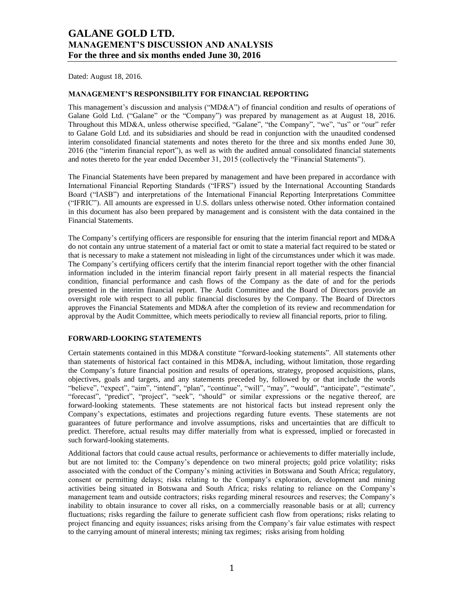Dated: August 18, 2016.

### **MANAGEMENT'S RESPONSIBILITY FOR FINANCIAL REPORTING**

This management's discussion and analysis ("MD&A") of financial condition and results of operations of Galane Gold Ltd. ("Galane" or the "Company") was prepared by management as at August 18, 2016. Throughout this MD&A, unless otherwise specified, "Galane", "the Company", "we", "us" or "our" refer to Galane Gold Ltd. and its subsidiaries and should be read in conjunction with the unaudited condensed interim consolidated financial statements and notes thereto for the three and six months ended June 30, 2016 (the "interim financial report"), as well as with the audited annual consolidated financial statements and notes thereto for the year ended December 31, 2015 (collectively the "Financial Statements").

The Financial Statements have been prepared by management and have been prepared in accordance with International Financial Reporting Standards ("IFRS") issued by the International Accounting Standards Board ("IASB") and interpretations of the International Financial Reporting Interpretations Committee ("IFRIC"). All amounts are expressed in U.S. dollars unless otherwise noted. Other information contained in this document has also been prepared by management and is consistent with the data contained in the Financial Statements.

The Company's certifying officers are responsible for ensuring that the interim financial report and MD&A do not contain any untrue statement of a material fact or omit to state a material fact required to be stated or that is necessary to make a statement not misleading in light of the circumstances under which it was made. The Company's certifying officers certify that the interim financial report together with the other financial information included in the interim financial report fairly present in all material respects the financial condition, financial performance and cash flows of the Company as the date of and for the periods presented in the interim financial report. The Audit Committee and the Board of Directors provide an oversight role with respect to all public financial disclosures by the Company. The Board of Directors approves the Financial Statements and MD&A after the completion of its review and recommendation for approval by the Audit Committee, which meets periodically to review all financial reports, prior to filing.

#### **FORWARD-LOOKING STATEMENTS**

Certain statements contained in this MD&A constitute "forward-looking statements". All statements other than statements of historical fact contained in this MD&A, including, without limitation, those regarding the Company's future financial position and results of operations, strategy, proposed acquisitions, plans, objectives, goals and targets, and any statements preceded by, followed by or that include the words "believe", "expect", "aim", "intend", "plan", "continue", "will", "may", "would", "anticipate", "estimate", "forecast", "predict", "project", "seek", "should" or similar expressions or the negative thereof, are forward-looking statements. These statements are not historical facts but instead represent only the Company's expectations, estimates and projections regarding future events. These statements are not guarantees of future performance and involve assumptions, risks and uncertainties that are difficult to predict. Therefore, actual results may differ materially from what is expressed, implied or forecasted in such forward-looking statements.

Additional factors that could cause actual results, performance or achievements to differ materially include, but are not limited to: the Company's dependence on two mineral projects; gold price volatility; risks associated with the conduct of the Company's mining activities in Botswana and South Africa; regulatory, consent or permitting delays; risks relating to the Company's exploration, development and mining activities being situated in Botswana and South Africa; risks relating to reliance on the Company's management team and outside contractors; risks regarding mineral resources and reserves; the Company's inability to obtain insurance to cover all risks, on a commercially reasonable basis or at all; currency fluctuations; risks regarding the failure to generate sufficient cash flow from operations; risks relating to project financing and equity issuances; risks arising from the Company's fair value estimates with respect to the carrying amount of mineral interests; mining tax regimes; risks arising from holding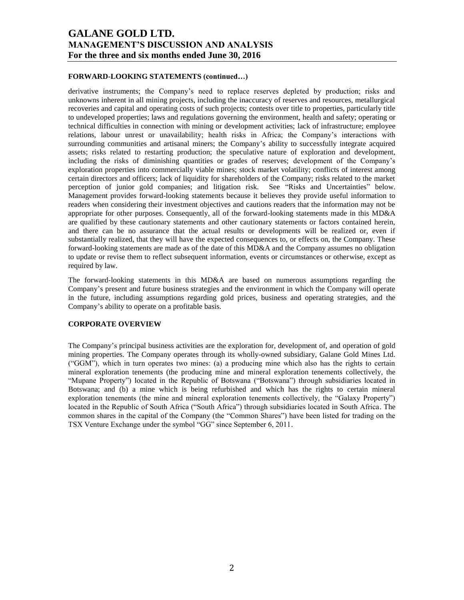### **FORWARD-LOOKING STATEMENTS (continued…)**

derivative instruments; the Company's need to replace reserves depleted by production; risks and unknowns inherent in all mining projects, including the inaccuracy of reserves and resources, metallurgical recoveries and capital and operating costs of such projects; contests over title to properties, particularly title to undeveloped properties; laws and regulations governing the environment, health and safety; operating or technical difficulties in connection with mining or development activities; lack of infrastructure; employee relations, labour unrest or unavailability; health risks in Africa; the Company's interactions with surrounding communities and artisanal miners; the Company's ability to successfully integrate acquired assets; risks related to restarting production; the speculative nature of exploration and development, including the risks of diminishing quantities or grades of reserves; development of the Company's exploration properties into commercially viable mines; stock market volatility; conflicts of interest among certain directors and officers; lack of liquidity for shareholders of the Company; risks related to the market perception of junior gold companies; and litigation risk. See "Risks and Uncertainties" below. Management provides forward-looking statements because it believes they provide useful information to readers when considering their investment objectives and cautions readers that the information may not be appropriate for other purposes. Consequently, all of the forward-looking statements made in this MD&A are qualified by these cautionary statements and other cautionary statements or factors contained herein, and there can be no assurance that the actual results or developments will be realized or, even if substantially realized, that they will have the expected consequences to, or effects on, the Company. These forward-looking statements are made as of the date of this MD&A and the Company assumes no obligation to update or revise them to reflect subsequent information, events or circumstances or otherwise, except as required by law.

The forward-looking statements in this MD&A are based on numerous assumptions regarding the Company's present and future business strategies and the environment in which the Company will operate in the future, including assumptions regarding gold prices, business and operating strategies, and the Company's ability to operate on a profitable basis.

#### **CORPORATE OVERVIEW**

The Company's principal business activities are the exploration for, development of, and operation of gold mining properties. The Company operates through its wholly-owned subsidiary, Galane Gold Mines Ltd. ("GGM"), which in turn operates two mines: (a) a producing mine which also has the rights to certain mineral exploration tenements (the producing mine and mineral exploration tenements collectively, the "Mupane Property") located in the Republic of Botswana ("Botswana") through subsidiaries located in Botswana; and (b) a mine which is being refurbished and which has the rights to certain mineral exploration tenements (the mine and mineral exploration tenements collectively, the "Galaxy Property") located in the Republic of South Africa ("South Africa") through subsidiaries located in South Africa. The common shares in the capital of the Company (the "Common Shares") have been listed for trading on the TSX Venture Exchange under the symbol "GG" since September 6, 2011.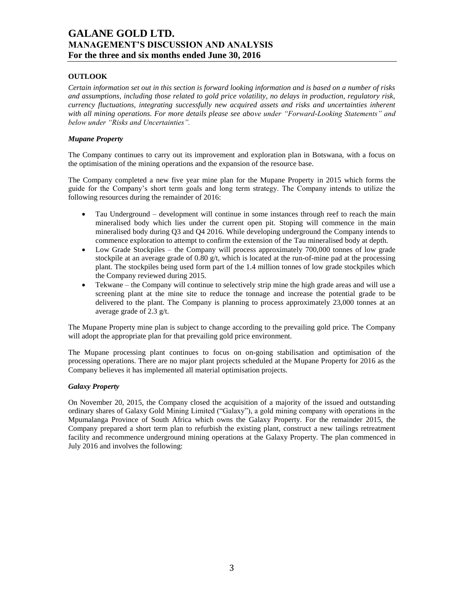## **OUTLOOK**

*Certain information set out in this section is forward looking information and is based on a number of risks and assumptions, including those related to gold price volatility, no delays in production, regulatory risk, currency fluctuations, integrating successfully new acquired assets and risks and uncertainties inherent with all mining operations. For more details please see above under "Forward-Looking Statements" and below under "Risks and Uncertainties".*

### *Mupane Property*

The Company continues to carry out its improvement and exploration plan in Botswana, with a focus on the optimisation of the mining operations and the expansion of the resource base.

The Company completed a new five year mine plan for the Mupane Property in 2015 which forms the guide for the Company's short term goals and long term strategy. The Company intends to utilize the following resources during the remainder of 2016:

- Tau Underground development will continue in some instances through reef to reach the main mineralised body which lies under the current open pit. Stoping will commence in the main mineralised body during Q3 and Q4 2016. While developing underground the Company intends to commence exploration to attempt to confirm the extension of the Tau mineralised body at depth.
- Low Grade Stockpiles the Company will process approximately 700,000 tonnes of low grade stockpile at an average grade of  $0.80 \text{ g/t}$ , which is located at the run-of-mine pad at the processing plant. The stockpiles being used form part of the 1.4 million tonnes of low grade stockpiles which the Company reviewed during 2015.
- Tekwane the Company will continue to selectively strip mine the high grade areas and will use a screening plant at the mine site to reduce the tonnage and increase the potential grade to be delivered to the plant. The Company is planning to process approximately 23,000 tonnes at an average grade of 2.3 g/t.

The Mupane Property mine plan is subject to change according to the prevailing gold price. The Company will adopt the appropriate plan for that prevailing gold price environment.

The Mupane processing plant continues to focus on on-going stabilisation and optimisation of the processing operations. There are no major plant projects scheduled at the Mupane Property for 2016 as the Company believes it has implemented all material optimisation projects.

#### *Galaxy Property*

On November 20, 2015, the Company closed the acquisition of a majority of the issued and outstanding ordinary shares of Galaxy Gold Mining Limited ("Galaxy"), a gold mining company with operations in the Mpumalanga Province of South Africa which owns the Galaxy Property. For the remainder 2015, the Company prepared a short term plan to refurbish the existing plant, construct a new tailings retreatment facility and recommence underground mining operations at the Galaxy Property. The plan commenced in July 2016 and involves the following: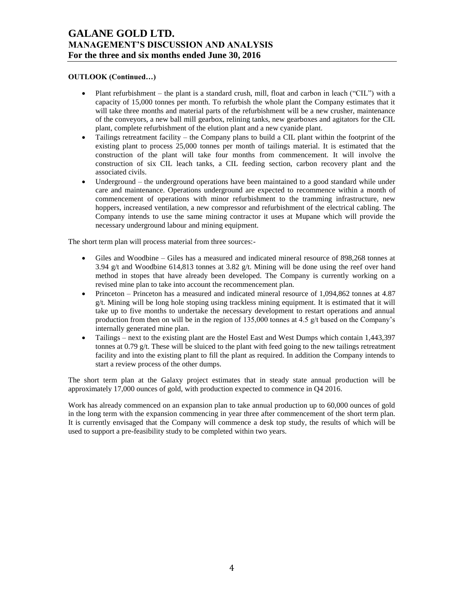## **OUTLOOK (Continued…)**

- Plant refurbishment the plant is a standard crush, mill, float and carbon in leach ("CIL") with a capacity of 15,000 tonnes per month. To refurbish the whole plant the Company estimates that it will take three months and material parts of the refurbishment will be a new crusher, maintenance of the conveyors, a new ball mill gearbox, relining tanks, new gearboxes and agitators for the CIL plant, complete refurbishment of the elution plant and a new cyanide plant.
- Tailings retreatment facility the Company plans to build a CIL plant within the footprint of the existing plant to process 25,000 tonnes per month of tailings material. It is estimated that the construction of the plant will take four months from commencement. It will involve the construction of six CIL leach tanks, a CIL feeding section, carbon recovery plant and the associated civils.
- Underground the underground operations have been maintained to a good standard while under care and maintenance. Operations underground are expected to recommence within a month of commencement of operations with minor refurbishment to the tramming infrastructure, new hoppers, increased ventilation, a new compressor and refurbishment of the electrical cabling. The Company intends to use the same mining contractor it uses at Mupane which will provide the necessary underground labour and mining equipment.

The short term plan will process material from three sources:-

- Giles and Woodbine Giles has a measured and indicated mineral resource of 898,268 tonnes at 3.94 g/t and Woodbine 614,813 tonnes at 3.82 g/t. Mining will be done using the reef over hand method in stopes that have already been developed. The Company is currently working on a revised mine plan to take into account the recommencement plan.
- Princeton Princeton has a measured and indicated mineral resource of 1,094,862 tonnes at 4.87 g/t. Mining will be long hole stoping using trackless mining equipment. It is estimated that it will take up to five months to undertake the necessary development to restart operations and annual production from then on will be in the region of 135,000 tonnes at 4.5 g/t based on the Company's internally generated mine plan.
- Tailings next to the existing plant are the Hostel East and West Dumps which contain 1,443,397 tonnes at 0.79  $g/t$ . These will be sluiced to the plant with feed going to the new tailings retreatment facility and into the existing plant to fill the plant as required. In addition the Company intends to start a review process of the other dumps.

The short term plan at the Galaxy project estimates that in steady state annual production will be approximately 17,000 ounces of gold, with production expected to commence in Q4 2016.

Work has already commenced on an expansion plan to take annual production up to 60,000 ounces of gold in the long term with the expansion commencing in year three after commencement of the short term plan. It is currently envisaged that the Company will commence a desk top study, the results of which will be used to support a pre-feasibility study to be completed within two years.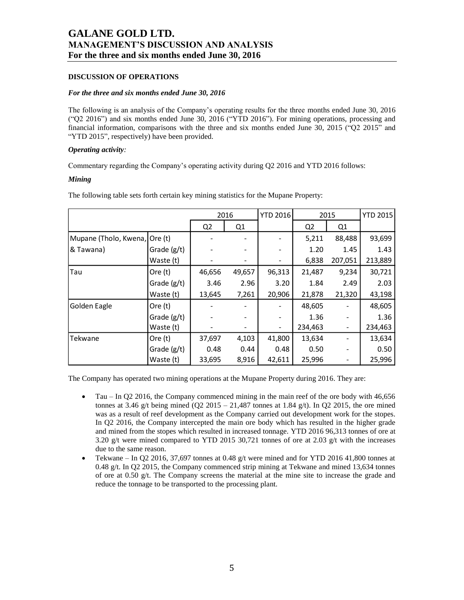### **DISCUSSION OF OPERATIONS**

#### *For the three and six months ended June 30, 2016*

The following is an analysis of the Company's operating results for the three months ended June 30, 2016 ("Q2 2016") and six months ended June 30, 2016 ("YTD 2016"). For mining operations, processing and financial information, comparisons with the three and six months ended June 30, 2015 ("Q2 2015" and "YTD 2015", respectively) have been provided.

### *Operating activity:*

Commentary regarding the Company's operating activity during Q2 2016 and YTD 2016 follows:

### *Mining*

| 2016                  |               |                | <b>YTD 2016</b> | 2015   |                | <b>YTD 2015</b> |         |
|-----------------------|---------------|----------------|-----------------|--------|----------------|-----------------|---------|
|                       |               | Q <sub>2</sub> | Q1              |        | Q <sub>2</sub> | Q <sub>1</sub>  |         |
| Mupane (Tholo, Kwena, | Ore (t)       |                |                 |        | 5,211          | 88,488          | 93,699  |
| <b>&amp; Tawana</b> ) | Grade (g/t)   |                |                 |        | 1.20           | 1.45            | 1.43    |
|                       | Waste (t)     |                |                 |        | 6,838          | 207,051         | 213,889 |
| Tau                   | Ore $(t)$     | 46,656         | 49,657          | 96,313 | 21,487         | 9,234           | 30,721  |
|                       | Grade (g/t)   | 3.46           | 2.96            | 3.20   | 1.84           | 2.49            | 2.03    |
|                       | Waste (t)     | 13,645         | 7,261           | 20,906 | 21,878         | 21,320          | 43,198  |
| Golden Eagle          | Ore $(t)$     |                |                 |        | 48,605         |                 | 48,605  |
|                       | Grade (g/t)   |                |                 | -      | 1.36           |                 | 1.36    |
|                       | Waste (t)     |                |                 |        | 234,463        |                 | 234,463 |
| Tekwane               | Ore $(t)$     | 37,697         | 4,103           | 41,800 | 13,634         |                 | 13,634  |
|                       | Grade $(g/t)$ | 0.48           | 0.44            | 0.48   | 0.50           |                 | 0.50    |
|                       | Waste (t)     | 33,695         | 8,916           | 42,611 | 25,996         |                 | 25,996  |

The following table sets forth certain key mining statistics for the Mupane Property:

The Company has operated two mining operations at the Mupane Property during 2016. They are:

- Tau In Q2 2016, the Company commenced mining in the main reef of the ore body with 46,656 tonnes at 3.46 g/t being mined (Q2 2015 – 21,487 tonnes at 1.84 g/t). In Q2 2015, the ore mined was as a result of reef development as the Company carried out development work for the stopes. In Q2 2016, the Company intercepted the main ore body which has resulted in the higher grade and mined from the stopes which resulted in increased tonnage. YTD 2016 96,313 tonnes of ore at 3.20 g/t were mined compared to YTD 2015 30,721 tonnes of ore at 2.03 g/t with the increases due to the same reason.
- Tekwane In Q2 2016, 37,697 tonnes at 0.48 g/t were mined and for YTD 2016 41,800 tonnes at 0.48 g/t. In Q2 2015, the Company commenced strip mining at Tekwane and mined 13,634 tonnes of ore at 0.50 g/t. The Company screens the material at the mine site to increase the grade and reduce the tonnage to be transported to the processing plant.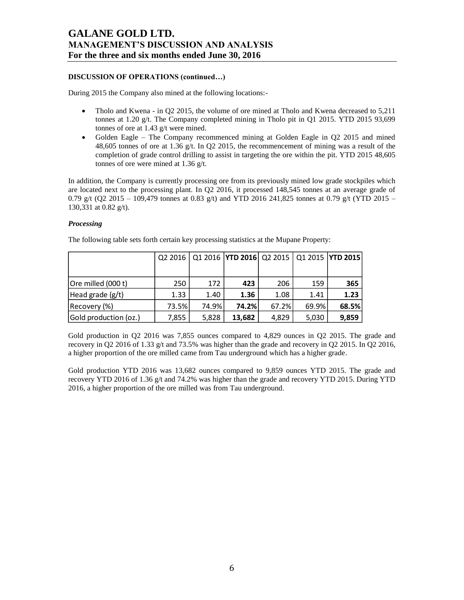## **DISCUSSION OF OPERATIONS (continued…)**

During 2015 the Company also mined at the following locations:-

- Tholo and Kwena in O2 2015, the volume of ore mined at Tholo and Kwena decreased to 5.211 tonnes at 1.20 g/t. The Company completed mining in Tholo pit in Q1 2015. YTD 2015 93,699 tonnes of ore at 1.43 g/t were mined.
- Golden Eagle The Company recommenced mining at Golden Eagle in Q2 2015 and mined 48,605 tonnes of ore at 1.36 g/t. In Q2 2015, the recommencement of mining was a result of the completion of grade control drilling to assist in targeting the ore within the pit. YTD 2015 48,605 tonnes of ore were mined at 1.36 g/t.

In addition, the Company is currently processing ore from its previously mined low grade stockpiles which are located next to the processing plant. In Q2 2016, it processed 148,545 tonnes at an average grade of 0.79 g/t (Q2 2015 – 109,479 tonnes at 0.83 g/t) and YTD 2016 241,825 tonnes at 0.79 g/t (YTD 2015 – 130,331 at 0.82 g/t).

### *Processing*

|                       |       |       |        |       |       | Q2 2016   Q1 2016   YTD 2016   Q2 2015   Q1 2015   YTD 2015 |
|-----------------------|-------|-------|--------|-------|-------|-------------------------------------------------------------|
|                       |       |       |        |       |       |                                                             |
| Ore milled (000 t)    | 250   | 172   | 423    | 206   | 159   | 365                                                         |
| Head grade $(g/t)$    | 1.33  | 1.40  | 1.36   | 1.08  | 1.41  | 1.23                                                        |
| Recovery (%)          | 73.5% | 74.9% | 74.2%  | 67.2% | 69.9% | 68.5%                                                       |
| Gold production (oz.) | 7,855 | 5,828 | 13,682 | 4,829 | 5,030 | 9,859                                                       |

The following table sets forth certain key processing statistics at the Mupane Property:

Gold production in Q2 2016 was 7,855 ounces compared to 4,829 ounces in Q2 2015. The grade and recovery in Q2 2016 of 1.33 g/t and 73.5% was higher than the grade and recovery in Q2 2015. In Q2 2016, a higher proportion of the ore milled came from Tau underground which has a higher grade.

Gold production YTD 2016 was 13,682 ounces compared to 9,859 ounces YTD 2015. The grade and recovery YTD 2016 of 1.36 g/t and 74.2% was higher than the grade and recovery YTD 2015. During YTD 2016, a higher proportion of the ore milled was from Tau underground.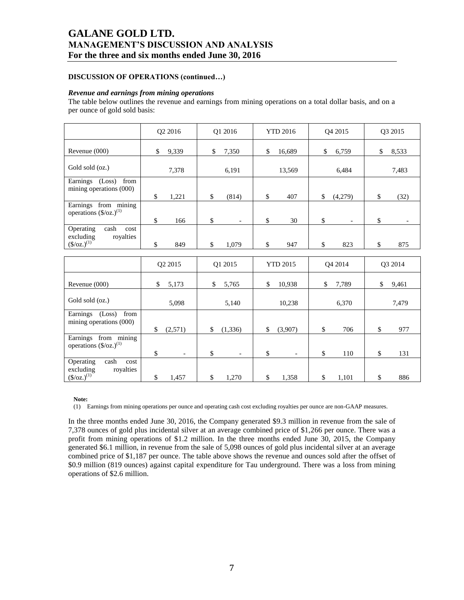## **DISCUSSION OF OPERATIONS (continued…)**

#### *Revenue and earnings from mining operations*

The table below outlines the revenue and earnings from mining operations on a total dollar basis, and on a per ounce of gold sold basis:

|                                                                                    | Q2 2016                        | Q1 2016                        | <b>YTD 2016</b> | Q4 2015                        | Q3 2015                        |
|------------------------------------------------------------------------------------|--------------------------------|--------------------------------|-----------------|--------------------------------|--------------------------------|
| Revenue (000)                                                                      | \$<br>9,339                    | \$<br>7,350                    | \$<br>16,689    | 6,759<br>\$                    | \$<br>8,533                    |
| Gold sold (oz.)                                                                    | 7,378                          | 6,191                          | 13,569          | 6,484                          | 7,483                          |
| Earnings (Loss)<br>from<br>mining operations (000)                                 | \$<br>1,221                    | \$<br>(814)                    | \$<br>407       | \$<br>(4,279)                  | \$<br>(32)                     |
| Earnings from mining<br>operations $(\frac{6}{2})^{(1)}$                           | \$<br>166                      | \$<br>$\overline{\phantom{a}}$ | \$<br>30        | \$<br>$\overline{\phantom{a}}$ | \$<br>$\overline{\phantom{a}}$ |
| Operating<br>cash<br>cost<br>royalties<br>excluding<br>$(\frac{\csc(1)}{2})$       | \$<br>849                      | \$<br>1,079                    | \$<br>947       | \$<br>823                      | \$<br>875                      |
|                                                                                    |                                |                                |                 |                                |                                |
|                                                                                    | Q2 2015                        | O1 2015                        | <b>YTD 2015</b> | O <sub>4</sub> 2014            | O3 2014                        |
| Revenue (000)                                                                      | \$<br>5,173                    | \$<br>5,765                    | \$<br>10,938    | \$<br>7,789                    | \$<br>9,461                    |
| Gold sold (oz.)                                                                    | 5,098                          | 5,140                          | 10,238          | 6,370                          | 7,479                          |
| Earnings (Loss)<br>from<br>mining operations (000)                                 | \$<br>(2,571)                  | (1, 336)<br>\$                 | (3,907)<br>\$   | \$<br>706                      | 977<br>\$                      |
| Earnings from mining<br>operations $(\frac{6}{2})^{(1)}$                           | \$<br>$\overline{\phantom{a}}$ | \$<br>$\overline{\phantom{a}}$ | \$              | \$<br>110                      | \$<br>131                      |
| Operating<br>cash<br>cost<br>royalties<br>excluding<br>$(\frac{\csc(1)}{2})^{(1)}$ | \$<br>1,457                    | \$<br>1,270                    | \$<br>1,358     | \$<br>1,101                    | \$<br>886                      |

**Note:**

(1) Earnings from mining operations per ounce and operating cash cost excluding royalties per ounce are non-GAAP measures.

In the three months ended June 30, 2016, the Company generated \$9.3 million in revenue from the sale of 7,378 ounces of gold plus incidental silver at an average combined price of \$1,266 per ounce. There was a profit from mining operations of \$1.2 million. In the three months ended June 30, 2015, the Company generated \$6.1 million, in revenue from the sale of 5,098 ounces of gold plus incidental silver at an average combined price of \$1,187 per ounce. The table above shows the revenue and ounces sold after the offset of \$0.9 million (819 ounces) against capital expenditure for Tau underground. There was a loss from mining operations of \$2.6 million.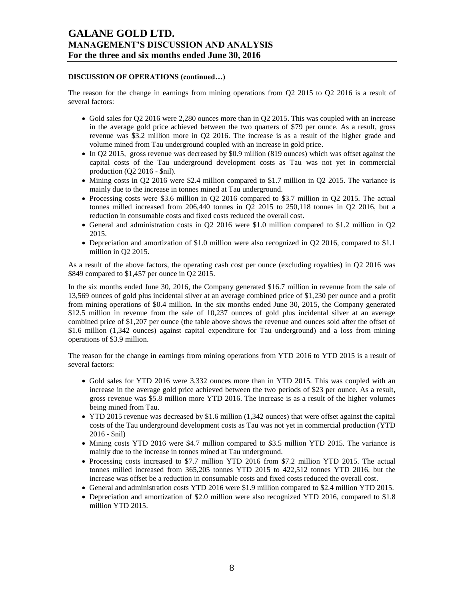### **DISCUSSION OF OPERATIONS (continued…)**

The reason for the change in earnings from mining operations from Q2 2015 to Q2 2016 is a result of several factors:

- Gold sales for Q2 2016 were 2,280 ounces more than in Q2 2015. This was coupled with an increase in the average gold price achieved between the two quarters of \$79 per ounce. As a result, gross revenue was \$3.2 million more in Q2 2016. The increase is as a result of the higher grade and volume mined from Tau underground coupled with an increase in gold price.
- In Q2 2015, gross revenue was decreased by \$0.9 million (819 ounces) which was offset against the capital costs of the Tau underground development costs as Tau was not yet in commercial production  $(Q2 2016 - \text{snil})$ .
- $\bullet$  Mining costs in Q2 2016 were \$2.4 million compared to \$1.7 million in Q2 2015. The variance is mainly due to the increase in tonnes mined at Tau underground.
- Processing costs were \$3.6 million in Q2 2016 compared to \$3.7 million in Q2 2015. The actual tonnes milled increased from 206,440 tonnes in Q2 2015 to 250,118 tonnes in Q2 2016, but a reduction in consumable costs and fixed costs reduced the overall cost.
- General and administration costs in Q2 2016 were \$1.0 million compared to \$1.2 million in Q2 2015.
- Depreciation and amortization of \$1.0 million were also recognized in Q2 2016, compared to \$1.1 million in Q2 2015.

As a result of the above factors, the operating cash cost per ounce (excluding royalties) in Q2 2016 was \$849 compared to \$1,457 per ounce in Q2 2015.

In the six months ended June 30, 2016, the Company generated \$16.7 million in revenue from the sale of 13,569 ounces of gold plus incidental silver at an average combined price of \$1,230 per ounce and a profit from mining operations of \$0.4 million. In the six months ended June 30, 2015, the Company generated \$12.5 million in revenue from the sale of 10,237 ounces of gold plus incidental silver at an average combined price of \$1,207 per ounce (the table above shows the revenue and ounces sold after the offset of \$1.6 million (1,342 ounces) against capital expenditure for Tau underground) and a loss from mining operations of \$3.9 million.

The reason for the change in earnings from mining operations from YTD 2016 to YTD 2015 is a result of several factors:

- Gold sales for YTD 2016 were 3,332 ounces more than in YTD 2015. This was coupled with an increase in the average gold price achieved between the two periods of \$23 per ounce. As a result, gross revenue was \$5.8 million more YTD 2016. The increase is as a result of the higher volumes being mined from Tau.
- YTD 2015 revenue was decreased by \$1.6 million (1,342 ounces) that were offset against the capital costs of the Tau underground development costs as Tau was not yet in commercial production (YTD 2016 - \$nil)
- Mining costs YTD 2016 were \$4.7 million compared to \$3.5 million YTD 2015. The variance is mainly due to the increase in tonnes mined at Tau underground.
- Processing costs increased to \$7.7 million YTD 2016 from \$7.2 million YTD 2015. The actual tonnes milled increased from 365,205 tonnes YTD 2015 to 422,512 tonnes YTD 2016, but the increase was offset be a reduction in consumable costs and fixed costs reduced the overall cost.
- General and administration costs YTD 2016 were \$1.9 million compared to \$2.4 million YTD 2015.
- Depreciation and amortization of \$2.0 million were also recognized YTD 2016, compared to \$1.8 million YTD 2015.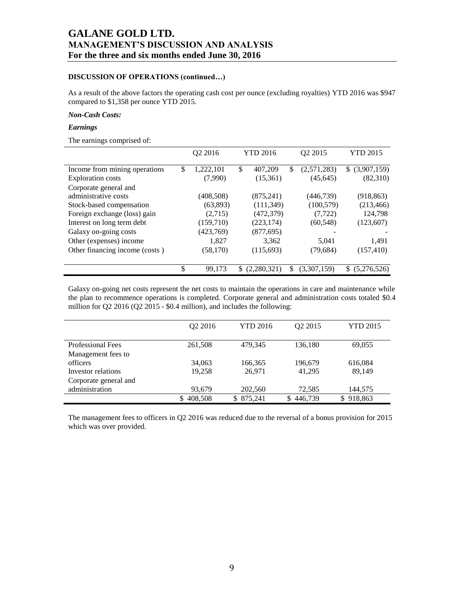### **DISCUSSION OF OPERATIONS (continued…)**

As a result of the above factors the operating cash cost per ounce (excluding royalties) YTD 2016 was \$947 compared to \$1,358 per ounce YTD 2015.

#### *Non-Cash Costs:*

### *Earnings*

The earnings comprised of:

|                                | Q2 2016 |            | <b>YTD 2016</b> |             | Q <sub>2</sub> 2015 |             |    | <b>YTD 2015</b> |
|--------------------------------|---------|------------|-----------------|-------------|---------------------|-------------|----|-----------------|
| Income from mining operations  | \$      | 1,222,101  | \$              | 407,209     | \$                  | (2,571,283) |    | \$ (3,907,159)  |
| <b>Exploration costs</b>       |         | (7,990)    |                 | (15,361)    |                     | (45, 645)   |    | (82,310)        |
| Corporate general and          |         |            |                 |             |                     |             |    |                 |
| administrative costs           |         | (408, 508) |                 | (875, 241)  |                     | (446,739)   |    | (918, 863)      |
| Stock-based compensation       |         | (63,893)   |                 | (111, 349)  |                     | (100, 579)  |    | (213, 466)      |
| Foreign exchange (loss) gain   |         | (2,715)    |                 | (472, 379)  |                     | (7, 722)    |    | 124,798         |
| Interest on long term debt     |         | (159,710)  |                 | (223, 174)  |                     | (60, 548)   |    | (123,607)       |
| Galaxy on-going costs          |         | (423,769)  |                 | (877, 695)  |                     |             |    |                 |
| Other (expenses) income        |         | 1.827      |                 | 3.362       |                     | 5,041       |    | 1,491           |
| Other financing income (costs) |         | (58, 170)  |                 | (115,693)   |                     | (79,684)    |    | (157, 410)      |
|                                | \$      | 99,173     | S               | (2,280,321) | S                   | (3,307,159) | S. | (5,276,526)     |

Galaxy on-going net costs represent the net costs to maintain the operations in care and maintenance while the plan to recommence operations is completed. Corporate general and administration costs totaled \$0.4 million for Q2 2016 (Q2 2015 - \$0.4 million), and includes the following:

|                          | O <sub>2</sub> 2016 | <b>YTD 2016</b> | O <sub>2</sub> 2015 | <b>YTD 2015</b> |
|--------------------------|---------------------|-----------------|---------------------|-----------------|
|                          |                     |                 |                     |                 |
| <b>Professional Fees</b> | 261,508             | 479.345         | 136,180             | 69,055          |
| Management fees to       |                     |                 |                     |                 |
| officers                 | 34,063              | 166,365         | 196,679             | 616,084         |
| Investor relations       | 19.258              | 26,971          | 41,295              | 89,149          |
| Corporate general and    |                     |                 |                     |                 |
| administration           | 93,679              | 202,560         | 72,585              | 144,575         |
|                          | 408,508             | 875.241<br>S.   | 446.739<br>S        | 918,863<br>S.   |

The management fees to officers in Q2 2016 was reduced due to the reversal of a bonus provision for 2015 which was over provided.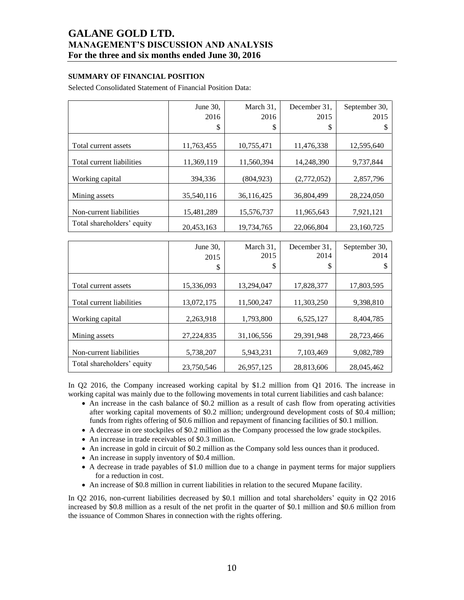## **SUMMARY OF FINANCIAL POSITION**

Selected Consolidated Statement of Financial Position Data:

|                            | June 30,   | March 31,  | December 31. | September 30, |
|----------------------------|------------|------------|--------------|---------------|
|                            | 2016       | 2016       | 2015         | 2015          |
|                            | \$         | \$         | \$           | J             |
|                            |            |            |              |               |
| Total current assets       | 11,763,455 | 10,755,471 | 11,476,338   | 12,595,640    |
|                            |            |            |              |               |
| Total current liabilities  | 11,369,119 | 11,560,394 | 14,248,390   | 9,737,844     |
|                            |            |            |              |               |
| Working capital            | 394,336    | (804, 923) | (2,772,052)  | 2,857,796     |
|                            |            |            |              |               |
| Mining assets              | 35,540,116 | 36,116,425 | 36,804,499   | 28,224,050    |
|                            |            |            |              |               |
| Non-current liabilities    | 15,481,289 | 15,576,737 | 11,965,643   | 7,921,121     |
| Total shareholders' equity | 20,453,163 | 19,734,765 | 22,066,804   | 23,160,725    |

|                            | June 30,<br>2015<br>\$ | March 31,<br>2015<br>\$ | December 31.<br>2014<br>\$ | September 30,<br>2014 |
|----------------------------|------------------------|-------------------------|----------------------------|-----------------------|
| Total current assets       | 15,336,093             | 13,294,047              | 17,828,377                 | 17,803,595            |
| Total current liabilities  | 13,072,175             | 11,500,247              | 11,303,250                 | 9,398,810             |
| Working capital            | 2,263,918              | 1,793,800               | 6,525,127                  | 8,404,785             |
| Mining assets              | 27,224,835             | 31,106,556              | 29,391,948                 | 28,723,466            |
| Non-current liabilities    | 5,738,207              | 5,943,231               | 7,103,469                  | 9,082,789             |
| Total shareholders' equity | 23,750,546             | 26,957,125              | 28,813,606                 | 28,045,462            |

In Q2 2016, the Company increased working capital by \$1.2 million from Q1 2016. The increase in working capital was mainly due to the following movements in total current liabilities and cash balance:

- An increase in the cash balance of \$0.2 million as a result of cash flow from operating activities after working capital movements of \$0.2 million; underground development costs of \$0.4 million; funds from rights offering of \$0.6 million and repayment of financing facilities of \$0.1 million.
- A decrease in ore stockpiles of \$0.2 million as the Company processed the low grade stockpiles.
- An increase in trade receivables of \$0.3 million.
- An increase in gold in circuit of \$0.2 million as the Company sold less ounces than it produced.
- An increase in supply inventory of \$0.4 million.
- A decrease in trade payables of \$1.0 million due to a change in payment terms for major suppliers for a reduction in cost.
- An increase of \$0.8 million in current liabilities in relation to the secured Mupane facility.

In Q2 2016, non-current liabilities decreased by \$0.1 million and total shareholders' equity in Q2 2016 increased by \$0.8 million as a result of the net profit in the quarter of \$0.1 million and \$0.6 million from the issuance of Common Shares in connection with the rights offering.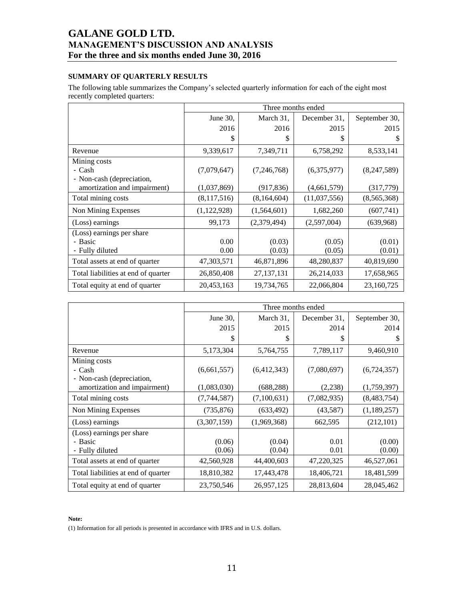## **SUMMARY OF QUARTERLY RESULTS**

The following table summarizes the Company's selected quarterly information for each of the eight most recently completed quarters:

|                                     | Three months ended |              |              |               |  |  |  |  |
|-------------------------------------|--------------------|--------------|--------------|---------------|--|--|--|--|
|                                     | June 30,           | March 31,    | December 31. | September 30, |  |  |  |  |
|                                     | 2016               | 2016         | 2015         | 2015          |  |  |  |  |
|                                     | \$                 | \$           | S            | \$            |  |  |  |  |
| Revenue                             | 9,339,617          | 7,349,711    | 6,758,292    | 8,533,141     |  |  |  |  |
| Mining costs                        |                    |              |              |               |  |  |  |  |
| - Cash                              | (7,079,647)        | (7,246,768)  | (6,375,977)  | (8,247,589)   |  |  |  |  |
| - Non-cash (depreciation,           |                    |              |              |               |  |  |  |  |
| amortization and impairment)        | (1,037,869)        | (917, 836)   | (4,661,579)  | (317,779)     |  |  |  |  |
| Total mining costs                  | (8,117,516)        | (8,164,604)  | (11,037,556) | (8,565,368)   |  |  |  |  |
| Non Mining Expenses                 | (1, 122, 928)      | (1,564,601)  | 1,682,260    | (607,741)     |  |  |  |  |
| (Loss) earnings                     | 99,173             | (2,379,494)  | (2,597,004)  | (639,968)     |  |  |  |  |
| (Loss) earnings per share           |                    |              |              |               |  |  |  |  |
| - Basic                             | 0.00               | (0.03)       | (0.05)       | (0.01)        |  |  |  |  |
| - Fully diluted                     | 0.00               | (0.03)       | (0.05)       | (0.01)        |  |  |  |  |
| Total assets at end of quarter      | 47,303,571         | 46,871,896   | 48,280,837   | 40,819,690    |  |  |  |  |
| Total liabilities at end of quarter | 26,850,408         | 27, 137, 131 | 26,214,033   | 17,658,965    |  |  |  |  |
| Total equity at end of quarter      | 20,453,163         | 19,734,765   | 22,066,804   | 23,160,725    |  |  |  |  |

|                                                           | Three months ended |             |              |               |  |  |
|-----------------------------------------------------------|--------------------|-------------|--------------|---------------|--|--|
|                                                           | June 30,           | March 31,   | December 31, | September 30, |  |  |
|                                                           | 2015               | 2015        | 2014         | 2014          |  |  |
|                                                           | \$                 | S           | \$           | \$            |  |  |
| Revenue                                                   | 5,173,304          | 5,764,755   | 7,789,117    | 9,460,910     |  |  |
| Mining costs                                              |                    |             |              |               |  |  |
| - Cash                                                    | (6,661,557)        | (6,412,343) | (7,080,697)  | (6,724,357)   |  |  |
| - Non-cash (depreciation,<br>amortization and impairment) | (1,083,030)        | (688, 288)  | (2,238)      | (1,759,397)   |  |  |
| Total mining costs                                        | (7,744,587)        | (7,100,631) | (7,082,935)  | (8,483,754)   |  |  |
| Non Mining Expenses                                       | (735, 876)         | (633, 492)  | (43,587)     | (1,189,257)   |  |  |
| (Loss) earnings                                           | (3,307,159)        | (1,969,368) | 662,595      | (212, 101)    |  |  |
| (Loss) earnings per share                                 |                    |             |              |               |  |  |
| - Basic                                                   | (0.06)             | (0.04)      | 0.01         | (0.00)        |  |  |
| - Fully diluted                                           | (0.06)             | (0.04)      | 0.01         | (0.00)        |  |  |
| Total assets at end of quarter                            | 42,560,928         | 44,400,603  | 47,220,325   | 46,527,061    |  |  |
| Total liabilities at end of quarter                       | 18,810,382         | 17,443,478  | 18,406,721   | 18,481,599    |  |  |
| Total equity at end of quarter                            | 23,750,546         | 26,957,125  | 28,813,604   | 28,045,462    |  |  |

#### **Note:**

(1) Information for all periods is presented in accordance with IFRS and in U.S. dollars.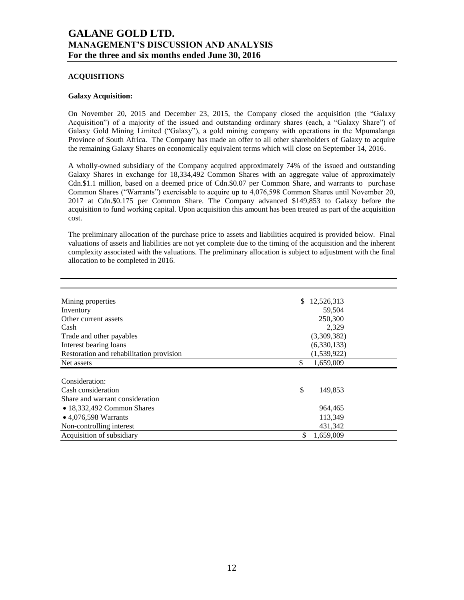### **ACQUISITIONS**

### **Galaxy Acquisition:**

On November 20, 2015 and December 23, 2015, the Company closed the acquisition (the "Galaxy Acquisition") of a majority of the issued and outstanding ordinary shares (each, a "Galaxy Share") of Galaxy Gold Mining Limited ("Galaxy"), a gold mining company with operations in the Mpumalanga Province of South Africa. The Company has made an offer to all other shareholders of Galaxy to acquire the remaining Galaxy Shares on economically equivalent terms which will close on September 14, 2016.

A wholly-owned subsidiary of the Company acquired approximately 74% of the issued and outstanding Galaxy Shares in exchange for 18,334,492 Common Shares with an aggregate value of approximately Cdn.\$1.1 million, based on a deemed price of Cdn.\$0.07 per Common Share, and warrants to purchase Common Shares ("Warrants") exercisable to acquire up to 4,076,598 Common Shares until November 20, 2017 at Cdn.\$0.175 per Common Share. The Company advanced \$149,853 to Galaxy before the acquisition to fund working capital. Upon acquisition this amount has been treated as part of the acquisition cost.

The preliminary allocation of the purchase price to assets and liabilities acquired is provided below. Final valuations of assets and liabilities are not yet complete due to the timing of the acquisition and the inherent complexity associated with the valuations. The preliminary allocation is subject to adjustment with the final allocation to be completed in 2016.

| Mining properties                        | 12,526,313<br>\$ |
|------------------------------------------|------------------|
| Inventory                                | 59,504           |
| Other current assets                     | 250,300          |
| Cash                                     | 2,329            |
| Trade and other payables                 | (3,309,382)      |
| Interest bearing loans                   | (6,330,133)      |
| Restoration and rehabilitation provision | (1,539,922)      |
| Net assets                               | \$<br>1,659,009  |
|                                          |                  |
| Consideration:                           |                  |
| Cash consideration                       | \$<br>149,853    |
| Share and warrant consideration          |                  |
| $\bullet$ 18,332,492 Common Shares       | 964,465          |
| • $4,076,598$ Warrants                   | 113,349          |
| Non-controlling interest                 | 431,342          |
| Acquisition of subsidiary                | \$<br>1,659,009  |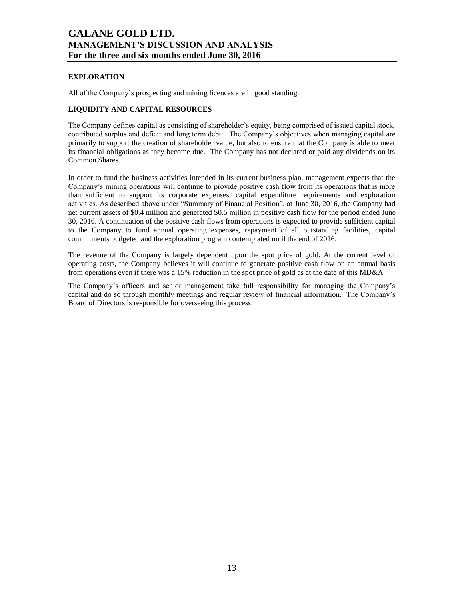## **EXPLORATION**

All of the Company's prospecting and mining licences are in good standing.

## **LIQUIDITY AND CAPITAL RESOURCES**

The Company defines capital as consisting of shareholder's equity, being comprised of issued capital stock, contributed surplus and deficit and long term debt. The Company's objectives when managing capital are primarily to support the creation of shareholder value, but also to ensure that the Company is able to meet its financial obligations as they become due. The Company has not declared or paid any dividends on its Common Shares.

In order to fund the business activities intended in its current business plan, management expects that the Company's mining operations will continue to provide positive cash flow from its operations that is more than sufficient to support its corporate expenses, capital expenditure requirements and exploration activities. As described above under "Summary of Financial Position", at June 30, 2016, the Company had net current assets of \$0.4 million and generated \$0.5 million in positive cash flow for the period ended June 30, 2016. A continuation of the positive cash flows from operations is expected to provide sufficient capital to the Company to fund annual operating expenses, repayment of all outstanding facilities, capital commitments budgeted and the exploration program contemplated until the end of 2016.

The revenue of the Company is largely dependent upon the spot price of gold. At the current level of operating costs, the Company believes it will continue to generate positive cash flow on an annual basis from operations even if there was a 15% reduction in the spot price of gold as at the date of this MD&A.

The Company's officers and senior management take full responsibility for managing the Company's capital and do so through monthly meetings and regular review of financial information. The Company's Board of Directors is responsible for overseeing this process.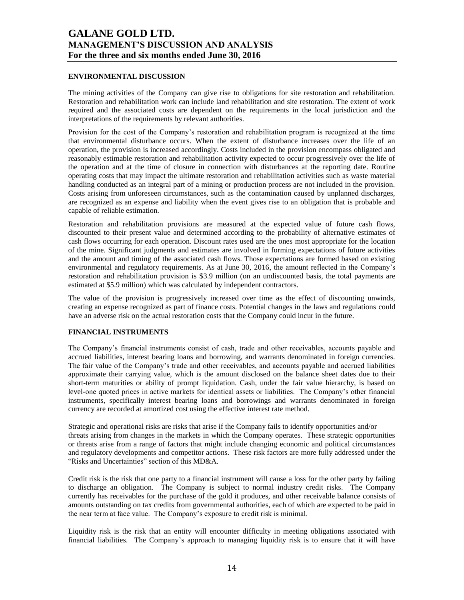### **ENVIRONMENTAL DISCUSSION**

The mining activities of the Company can give rise to obligations for site restoration and rehabilitation. Restoration and rehabilitation work can include land rehabilitation and site restoration. The extent of work required and the associated costs are dependent on the requirements in the local jurisdiction and the interpretations of the requirements by relevant authorities.

Provision for the cost of the Company's restoration and rehabilitation program is recognized at the time that environmental disturbance occurs. When the extent of disturbance increases over the life of an operation, the provision is increased accordingly. Costs included in the provision encompass obligated and reasonably estimable restoration and rehabilitation activity expected to occur progressively over the life of the operation and at the time of closure in connection with disturbances at the reporting date. Routine operating costs that may impact the ultimate restoration and rehabilitation activities such as waste material handling conducted as an integral part of a mining or production process are not included in the provision. Costs arising from unforeseen circumstances, such as the contamination caused by unplanned discharges, are recognized as an expense and liability when the event gives rise to an obligation that is probable and capable of reliable estimation.

Restoration and rehabilitation provisions are measured at the expected value of future cash flows, discounted to their present value and determined according to the probability of alternative estimates of cash flows occurring for each operation. Discount rates used are the ones most appropriate for the location of the mine. Significant judgments and estimates are involved in forming expectations of future activities and the amount and timing of the associated cash flows. Those expectations are formed based on existing environmental and regulatory requirements. As at June 30, 2016, the amount reflected in the Company's restoration and rehabilitation provision is \$3.9 million (on an undiscounted basis, the total payments are estimated at \$5.9 million) which was calculated by independent contractors.

The value of the provision is progressively increased over time as the effect of discounting unwinds, creating an expense recognized as part of finance costs. Potential changes in the laws and regulations could have an adverse risk on the actual restoration costs that the Company could incur in the future.

### **FINANCIAL INSTRUMENTS**

The Company's financial instruments consist of cash, trade and other receivables, accounts payable and accrued liabilities, interest bearing loans and borrowing, and warrants denominated in foreign currencies. The fair value of the Company's trade and other receivables, and accounts payable and accrued liabilities approximate their carrying value, which is the amount disclosed on the balance sheet dates due to their short-term maturities or ability of prompt liquidation. Cash, under the fair value hierarchy, is based on level-one quoted prices in active markets for identical assets or liabilities. The Company's other financial instruments, specifically interest bearing loans and borrowings and warrants denominated in foreign currency are recorded at amortized cost using the effective interest rate method.

Strategic and operational risks are risks that arise if the Company fails to identify opportunities and/or threats arising from changes in the markets in which the Company operates. These strategic opportunities or threats arise from a range of factors that might include changing economic and political circumstances and regulatory developments and competitor actions. These risk factors are more fully addressed under the "Risks and Uncertainties" section of this MD&A.

Credit risk is the risk that one party to a financial instrument will cause a loss for the other party by failing to discharge an obligation. The Company is subject to normal industry credit risks. The Company currently has receivables for the purchase of the gold it produces, and other receivable balance consists of amounts outstanding on tax credits from governmental authorities, each of which are expected to be paid in the near term at face value. The Company's exposure to credit risk is minimal.

Liquidity risk is the risk that an entity will encounter difficulty in meeting obligations associated with financial liabilities. The Company's approach to managing liquidity risk is to ensure that it will have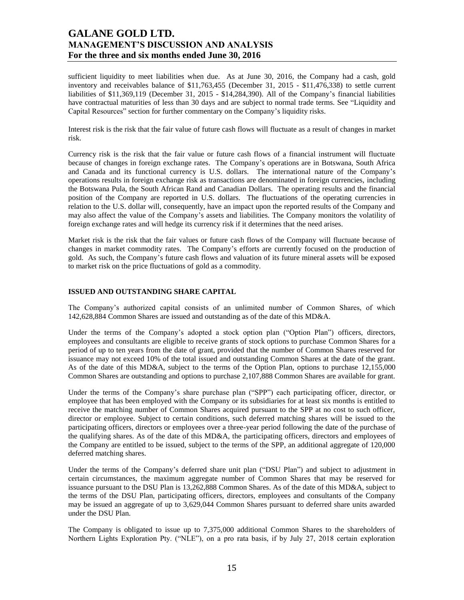sufficient liquidity to meet liabilities when due. As at June 30, 2016, the Company had a cash, gold inventory and receivables balance of \$11,763,455 (December 31, 2015 - \$11,476,338) to settle current liabilities of \$11,369,119 (December 31, 2015 - \$14,284,390). All of the Company's financial liabilities have contractual maturities of less than 30 days and are subject to normal trade terms. See "Liquidity and Capital Resources" section for further commentary on the Company's liquidity risks.

Interest risk is the risk that the fair value of future cash flows will fluctuate as a result of changes in market risk.

Currency risk is the risk that the fair value or future cash flows of a financial instrument will fluctuate because of changes in foreign exchange rates. The Company's operations are in Botswana, South Africa and Canada and its functional currency is U.S. dollars. The international nature of the Company's operations results in foreign exchange risk as transactions are denominated in foreign currencies, including the Botswana Pula, the South African Rand and Canadian Dollars. The operating results and the financial position of the Company are reported in U.S. dollars. The fluctuations of the operating currencies in relation to the U.S. dollar will, consequently, have an impact upon the reported results of the Company and may also affect the value of the Company's assets and liabilities. The Company monitors the volatility of foreign exchange rates and will hedge its currency risk if it determines that the need arises.

Market risk is the risk that the fair values or future cash flows of the Company will fluctuate because of changes in market commodity rates. The Company's efforts are currently focused on the production of gold. As such, the Company's future cash flows and valuation of its future mineral assets will be exposed to market risk on the price fluctuations of gold as a commodity.

### **ISSUED AND OUTSTANDING SHARE CAPITAL**

The Company's authorized capital consists of an unlimited number of Common Shares, of which 142,628,884 Common Shares are issued and outstanding as of the date of this MD&A.

Under the terms of the Company's adopted a stock option plan ("Option Plan") officers, directors, employees and consultants are eligible to receive grants of stock options to purchase Common Shares for a period of up to ten years from the date of grant, provided that the number of Common Shares reserved for issuance may not exceed 10% of the total issued and outstanding Common Shares at the date of the grant. As of the date of this MD&A, subject to the terms of the Option Plan, options to purchase 12,155,000 Common Shares are outstanding and options to purchase 2,107,888 Common Shares are available for grant.

Under the terms of the Company's share purchase plan ("SPP") each participating officer, director, or employee that has been employed with the Company or its subsidiaries for at least six months is entitled to receive the matching number of Common Shares acquired pursuant to the SPP at no cost to such officer, director or employee. Subject to certain conditions, such deferred matching shares will be issued to the participating officers, directors or employees over a three-year period following the date of the purchase of the qualifying shares. As of the date of this MD&A, the participating officers, directors and employees of the Company are entitled to be issued, subject to the terms of the SPP, an additional aggregate of 120,000 deferred matching shares.

Under the terms of the Company's deferred share unit plan ("DSU Plan") and subject to adjustment in certain circumstances, the maximum aggregate number of Common Shares that may be reserved for issuance pursuant to the DSU Plan is 13,262,888 Common Shares. As of the date of this MD&A, subject to the terms of the DSU Plan, participating officers, directors, employees and consultants of the Company may be issued an aggregate of up to 3,629,044 Common Shares pursuant to deferred share units awarded under the DSU Plan.

The Company is obligated to issue up to 7,375,000 additional Common Shares to the shareholders of Northern Lights Exploration Pty. ("NLE"), on a pro rata basis, if by July 27, 2018 certain exploration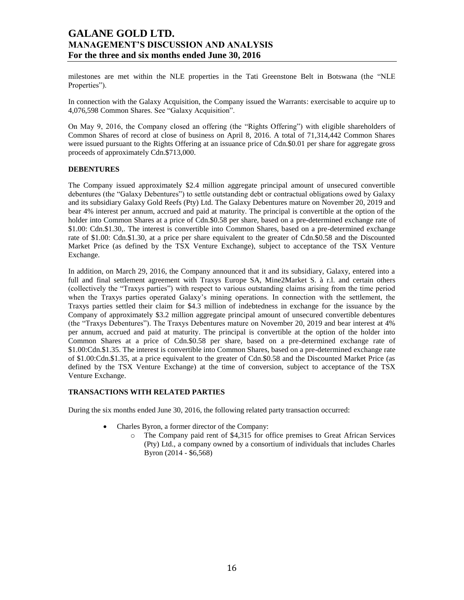milestones are met within the NLE properties in the Tati Greenstone Belt in Botswana (the "NLE Properties").

In connection with the Galaxy Acquisition, the Company issued the Warrants: exercisable to acquire up to 4,076,598 Common Shares. See "Galaxy Acquisition".

On May 9, 2016, the Company closed an offering (the "Rights Offering") with eligible shareholders of Common Shares of record at close of business on April 8, 2016. A total of 71,314,442 Common Shares were issued pursuant to the Rights Offering at an issuance price of Cdn.\$0.01 per share for aggregate gross proceeds of approximately Cdn.\$713,000.

### **DEBENTURES**

The Company issued approximately \$2.4 million aggregate principal amount of unsecured convertible debentures (the "Galaxy Debentures") to settle outstanding debt or contractual obligations owed by Galaxy and its subsidiary Galaxy Gold Reefs (Pty) Ltd. The Galaxy Debentures mature on November 20, 2019 and bear 4% interest per annum, accrued and paid at maturity. The principal is convertible at the option of the holder into Common Shares at a price of Cdn.\$0.58 per share, based on a pre-determined exchange rate of \$1.00: Cdn.\$1.30,. The interest is convertible into Common Shares, based on a pre-determined exchange rate of \$1.00: Cdn.\$1.30, at a price per share equivalent to the greater of Cdn.\$0.58 and the Discounted Market Price (as defined by the TSX Venture Exchange), subject to acceptance of the TSX Venture Exchange.

In addition, on March 29, 2016, the Company announced that it and its subsidiary, Galaxy, entered into a full and final settlement agreement with Traxys Europe SA, Mine2Market S. à r.l. and certain others (collectively the "Traxys parties") with respect to various outstanding claims arising from the time period when the Traxys parties operated Galaxy's mining operations. In connection with the settlement, the Traxys parties settled their claim for \$4.3 million of indebtedness in exchange for the issuance by the Company of approximately \$3.2 million aggregate principal amount of unsecured convertible debentures (the "Traxys Debentures"). The Traxys Debentures mature on November 20, 2019 and bear interest at 4% per annum, accrued and paid at maturity. The principal is convertible at the option of the holder into Common Shares at a price of Cdn.\$0.58 per share, based on a pre-determined exchange rate of \$1.00:Cdn.\$1.35. The interest is convertible into Common Shares, based on a pre-determined exchange rate of \$1.00:Cdn.\$1.35, at a price equivalent to the greater of Cdn.\$0.58 and the Discounted Market Price (as defined by the TSX Venture Exchange) at the time of conversion, subject to acceptance of the TSX Venture Exchange.

#### **TRANSACTIONS WITH RELATED PARTIES**

During the six months ended June 30, 2016, the following related party transaction occurred:

- Charles Byron, a former director of the Company:
	- o The Company paid rent of \$4,315 for office premises to Great African Services (Pty) Ltd., a company owned by a consortium of individuals that includes Charles Byron (2014 - \$6,568)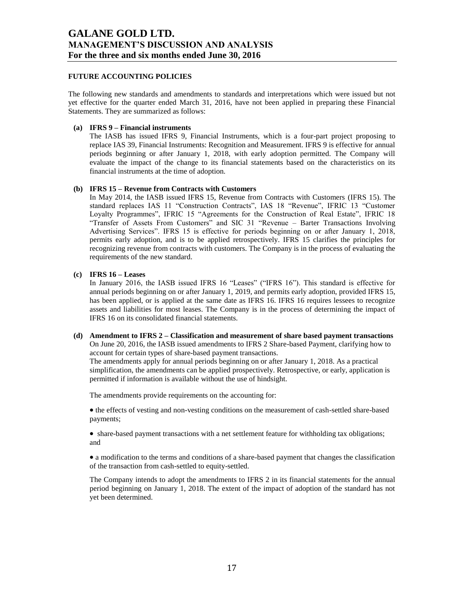### **FUTURE ACCOUNTING POLICIES**

The following new standards and amendments to standards and interpretations which were issued but not yet effective for the quarter ended March 31, 2016, have not been applied in preparing these Financial Statements. They are summarized as follows:

### **(a) IFRS 9 – Financial instruments**

The IASB has issued IFRS 9, Financial Instruments, which is a four-part project proposing to replace IAS 39, Financial Instruments: Recognition and Measurement. IFRS 9 is effective for annual periods beginning or after January 1, 2018, with early adoption permitted. The Company will evaluate the impact of the change to its financial statements based on the characteristics on its financial instruments at the time of adoption.

### **(b) IFRS 15 – Revenue from Contracts with Customers**

In May 2014, the IASB issued IFRS 15, Revenue from Contracts with Customers (IFRS 15). The standard replaces IAS 11 "Construction Contracts", IAS 18 "Revenue", IFRIC 13 "Customer Loyalty Programmes", IFRIC 15 "Agreements for the Construction of Real Estate", IFRIC 18 "Transfer of Assets From Customers" and SIC 31 "Revenue – Barter Transactions Involving Advertising Services". IFRS 15 is effective for periods beginning on or after January 1, 2018, permits early adoption, and is to be applied retrospectively. IFRS 15 clarifies the principles for recognizing revenue from contracts with customers. The Company is in the process of evaluating the requirements of the new standard.

### **(c) IFRS 16 – Leases**

In January 2016, the IASB issued IFRS 16 "Leases" ("IFRS 16"). This standard is effective for annual periods beginning on or after January 1, 2019, and permits early adoption, provided IFRS 15, has been applied, or is applied at the same date as IFRS 16. IFRS 16 requires lessees to recognize assets and liabilities for most leases. The Company is in the process of determining the impact of IFRS 16 on its consolidated financial statements.

**(d) Amendment to IFRS 2 – Classification and measurement of share based payment transactions** On June 20, 2016, the IASB issued amendments to IFRS 2 Share-based Payment, clarifying how to account for certain types of share-based payment transactions.

The amendments apply for annual periods beginning on or after January 1, 2018. As a practical simplification, the amendments can be applied prospectively. Retrospective, or early, application is permitted if information is available without the use of hindsight.

The amendments provide requirements on the accounting for:

• the effects of vesting and non-vesting conditions on the measurement of cash-settled share-based payments;

 share-based payment transactions with a net settlement feature for withholding tax obligations; and

 a modification to the terms and conditions of a share-based payment that changes the classification of the transaction from cash-settled to equity-settled.

The Company intends to adopt the amendments to IFRS 2 in its financial statements for the annual period beginning on January 1, 2018. The extent of the impact of adoption of the standard has not yet been determined.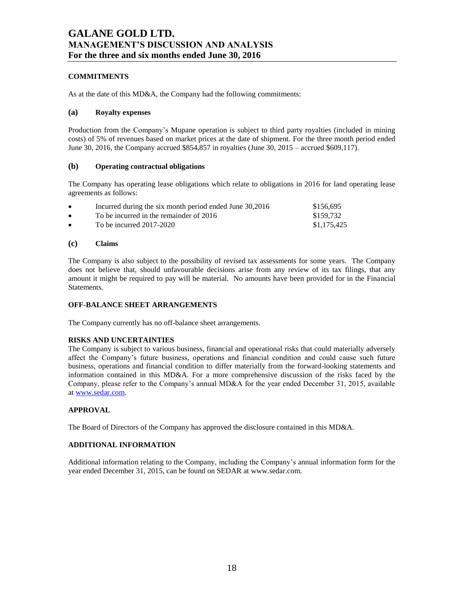### **COMMITMENTS**

As at the date of this MD&A, the Company had the following commitments:

### **(a) Royalty expenses**

Production from the Company's Mupane operation is subject to third party royalties (included in mining costs) of 5% of revenues based on market prices at the date of shipment. For the three month period ended June 30, 2016, the Company accrued \$854,857 in royalties (June 30, 2015 – accrued \$609,117).

### **(b) Operating contractual obligations**

The Company has operating lease obligations which relate to obligations in 2016 for land operating lease agreements as follows:

| $\bullet$ | Incurred during the six month period ended June 30,2016 | \$156,695   |
|-----------|---------------------------------------------------------|-------------|
| $\bullet$ | To be incurred in the remainder of 2016                 | \$159.732   |
| $\bullet$ | To be incurred $2017-2020$                              | \$1,175,425 |

### **(c) Claims**

The Company is also subject to the possibility of revised tax assessments for some years. The Company does not believe that, should unfavourable decisions arise from any review of its tax filings, that any amount it might be required to pay will be material. No amounts have been provided for in the Financial Statements.

#### **OFF-BALANCE SHEET ARRANGEMENTS**

The Company currently has no off-balance sheet arrangements.

#### **RISKS AND UNCERTAINTIES**

The Company is subject to various business, financial and operational risks that could materially adversely affect the Company's future business, operations and financial condition and could cause such future business, operations and financial condition to differ materially from the forward-looking statements and information contained in this MD&A. For a more comprehensive discussion of the risks faced by the Company, please refer to the Company's annual MD&A for the year ended December 31, 2015, available a[t www.sedar.com.](http://www.sedar.com/)

#### **APPROVAL**

The Board of Directors of the Company has approved the disclosure contained in this MD&A.

#### **ADDITIONAL INFORMATION**

Additional information relating to the Company, including the Company's annual information form for the year ended December 31, 2015, can be found on SEDAR at www.sedar.com.